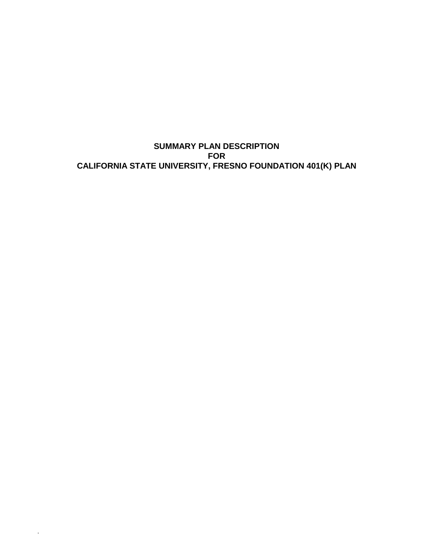**SUMMARY PLAN DESCRIPTION FOR CALIFORNIA STATE UNIVERSITY, FRESNO FOUNDATION 401(K) PLAN**

.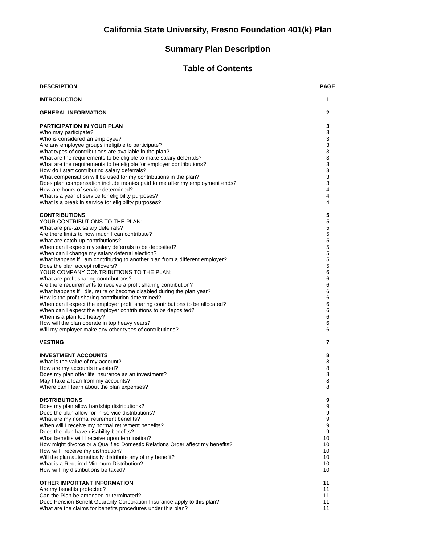# **Summary Plan Description**

# **Table of Contents**

| <b>DESCRIPTION</b>                                                                                                                                                                                                                                                                                                                                                                                                                                                                                                                                                                                                                                                                                                                                                                                                                                                                                                                                                                                    | <b>PAGE</b>                                                                                 |
|-------------------------------------------------------------------------------------------------------------------------------------------------------------------------------------------------------------------------------------------------------------------------------------------------------------------------------------------------------------------------------------------------------------------------------------------------------------------------------------------------------------------------------------------------------------------------------------------------------------------------------------------------------------------------------------------------------------------------------------------------------------------------------------------------------------------------------------------------------------------------------------------------------------------------------------------------------------------------------------------------------|---------------------------------------------------------------------------------------------|
| <b>INTRODUCTION</b>                                                                                                                                                                                                                                                                                                                                                                                                                                                                                                                                                                                                                                                                                                                                                                                                                                                                                                                                                                                   | 1                                                                                           |
| <b>GENERAL INFORMATION</b>                                                                                                                                                                                                                                                                                                                                                                                                                                                                                                                                                                                                                                                                                                                                                                                                                                                                                                                                                                            | 2                                                                                           |
| <b>PARTICIPATION IN YOUR PLAN</b><br>Who may participate?<br>Who is considered an employee?<br>Are any employee groups ineligible to participate?<br>What types of contributions are available in the plan?<br>What are the requirements to be eligible to make salary deferrals?<br>What are the requirements to be eligible for employer contributions?<br>How do I start contributing salary deferrals?<br>What compensation will be used for my contributions in the plan?<br>Does plan compensation include monies paid to me after my employment ends?<br>How are hours of service determined?<br>What is a year of service for eligibility purposes?<br>What is a break in service for eligibility purposes?                                                                                                                                                                                                                                                                                   | 3<br>3<br>3<br>3<br>3<br>3<br>3<br>3<br>3<br>3<br>4<br>4<br>4                               |
| <b>CONTRIBUTIONS</b><br>YOUR CONTRIBUTIONS TO THE PLAN:<br>What are pre-tax salary deferrals?<br>Are there limits to how much I can contribute?<br>What are catch-up contributions?<br>When can I expect my salary deferrals to be deposited?<br>When can I change my salary deferral election?<br>What happens if I am contributing to another plan from a different employer?<br>Does the plan accept rollovers?<br>YOUR COMPANY CONTRIBUTIONS TO THE PLAN:<br>What are profit sharing contributions?<br>Are there requirements to receive a profit sharing contribution?<br>What happens if I die, retire or become disabled during the plan year?<br>How is the profit sharing contribution determined?<br>When can I expect the employer profit sharing contributions to be allocated?<br>When can I expect the employer contributions to be deposited?<br>When is a plan top heavy?<br>How will the plan operate in top heavy years?<br>Will my employer make any other types of contributions? | 5<br>5<br>5<br>5<br>5<br>5<br>5<br>5<br>5<br>6<br>6<br>6<br>6<br>6<br>6<br>6<br>6<br>6<br>6 |
| <b>VESTING</b>                                                                                                                                                                                                                                                                                                                                                                                                                                                                                                                                                                                                                                                                                                                                                                                                                                                                                                                                                                                        | 7                                                                                           |
| <b>INVESTMENT ACCOUNTS</b><br>What is the value of my account?<br>How are my accounts invested?<br>Does my plan offer life insurance as an investment?<br>May I take a loan from my accounts?<br>Where can I learn about the plan expenses?                                                                                                                                                                                                                                                                                                                                                                                                                                                                                                                                                                                                                                                                                                                                                           | 8<br>8<br>8<br>8<br>8<br>8                                                                  |
| <b>DISTRIBUTIONS</b><br>Does my plan allow hardship distributions?<br>Does the plan allow for in-service distributions?<br>What are my normal retirement benefits?<br>When will I receive my normal retirement benefits?<br>Does the plan have disability benefits?<br>What benefits will I receive upon termination?<br>How might divorce or a Qualified Domestic Relations Order affect my benefits?<br>How will I receive my distribution?<br>Will the plan automatically distribute any of my benefit?<br>What is a Required Minimum Distribution?<br>How will my distributions be taxed?<br>OTHER IMPORTANT INFORMATION<br>Are my benefits protected?<br>Can the Plan be amended or terminated?                                                                                                                                                                                                                                                                                                  | 9<br>9<br>9<br>9<br>9<br>9<br>10<br>10<br>10<br>10<br>10<br>10<br>11<br>11<br>11<br>11      |
| Does Pension Benefit Guaranty Corporation Insurance apply to this plan?<br>What are the claims for benefits procedures under this plan?                                                                                                                                                                                                                                                                                                                                                                                                                                                                                                                                                                                                                                                                                                                                                                                                                                                               | 11                                                                                          |

.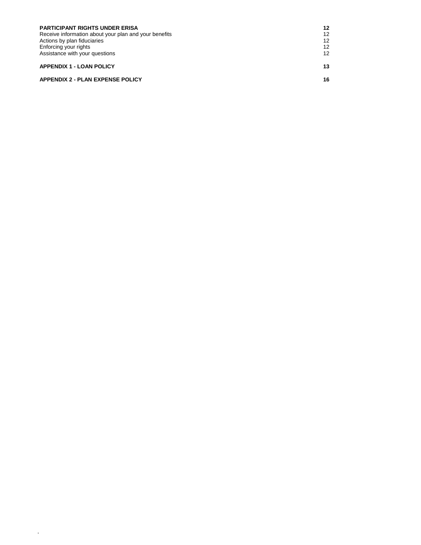| <b>PARTICIPANT RIGHTS UNDER ERISA</b>                 | 12 |
|-------------------------------------------------------|----|
| Receive information about your plan and your benefits | 12 |
| Actions by plan fiduciaries                           | 12 |
| Enforcing your rights                                 | 12 |
| Assistance with your questions                        | 12 |
| <b>APPENDIX 1 - LOAN POLICY</b>                       | 13 |
| <b>APPENDIX 2 - PLAN EXPENSE POLICY</b>               | 16 |

.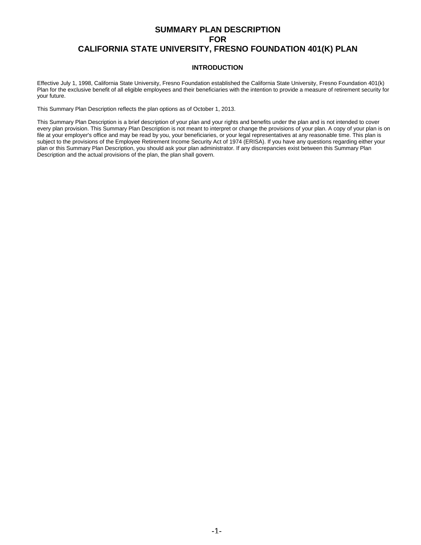# **SUMMARY PLAN DESCRIPTION FOR CALIFORNIA STATE UNIVERSITY, FRESNO FOUNDATION 401(K) PLAN**

# **INTRODUCTION**

Effective July 1, 1998, California State University, Fresno Foundation established the California State University, Fresno Foundation 401(k) Plan for the exclusive benefit of all eligible employees and their beneficiaries with the intention to provide a measure of retirement security for your future.

This Summary Plan Description reflects the plan options as of October 1, 2013.

This Summary Plan Description is a brief description of your plan and your rights and benefits under the plan and is not intended to cover every plan provision. This Summary Plan Description is not meant to interpret or change the provisions of your plan. A copy of your plan is on file at your employer's office and may be read by you, your beneficiaries, or your legal representatives at any reasonable time. This plan is subject to the provisions of the Employee Retirement Income Security Act of 1974 (ERISA). If you have any questions regarding either your plan or this Summary Plan Description, you should ask your plan administrator. If any discrepancies exist between this Summary Plan Description and the actual provisions of the plan, the plan shall govern.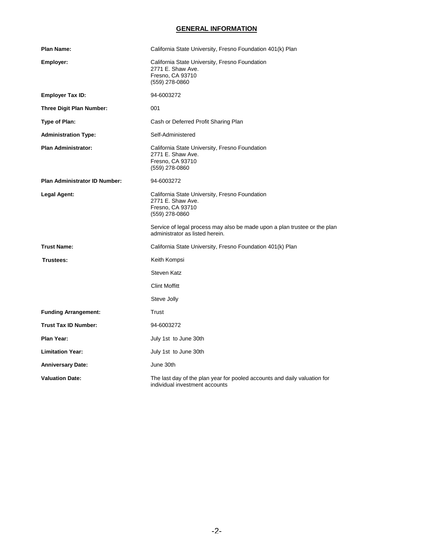# **GENERAL INFORMATION**

| <b>Plan Name:</b>                    | California State University, Fresno Foundation 401(k) Plan                                                                                                                             |
|--------------------------------------|----------------------------------------------------------------------------------------------------------------------------------------------------------------------------------------|
| Employer:                            | California State University, Fresno Foundation<br>2771 E. Shaw Ave.<br>Fresno, CA 93710<br>(559) 278-0860                                                                              |
| <b>Employer Tax ID:</b>              | 94-6003272                                                                                                                                                                             |
| Three Digit Plan Number:             | 001                                                                                                                                                                                    |
| Type of Plan:                        | Cash or Deferred Profit Sharing Plan                                                                                                                                                   |
| <b>Administration Type:</b>          | Self-Administered                                                                                                                                                                      |
| <b>Plan Administrator:</b>           | California State University, Fresno Foundation<br>2771 E. Shaw Ave.<br>Fresno, CA 93710<br>(559) 278-0860                                                                              |
| <b>Plan Administrator ID Number:</b> | 94-6003272                                                                                                                                                                             |
| <b>Legal Agent:</b>                  | California State University, Fresno Foundation<br>2771 E. Shaw Ave.<br>Fresno, CA 93710<br>(559) 278-0860<br>Service of legal process may also be made upon a plan trustee or the plan |
|                                      | administrator as listed herein.                                                                                                                                                        |
| <b>Trust Name:</b>                   | California State University, Fresno Foundation 401(k) Plan                                                                                                                             |
| Trustees:                            | Keith Kompsi                                                                                                                                                                           |
|                                      | Steven Katz                                                                                                                                                                            |
|                                      | <b>Clint Moffitt</b>                                                                                                                                                                   |
|                                      | Steve Jolly                                                                                                                                                                            |
| <b>Funding Arrangement:</b>          | Trust                                                                                                                                                                                  |
| <b>Trust Tax ID Number:</b>          | 94-6003272                                                                                                                                                                             |
| Plan Year:                           | July 1st to June 30th                                                                                                                                                                  |
| <b>Limitation Year:</b>              | July 1st to June 30th                                                                                                                                                                  |
| <b>Anniversary Date:</b>             | June 30th                                                                                                                                                                              |
| <b>Valuation Date:</b>               | The last day of the plan year for pooled accounts and daily valuation for<br>individual investment accounts                                                                            |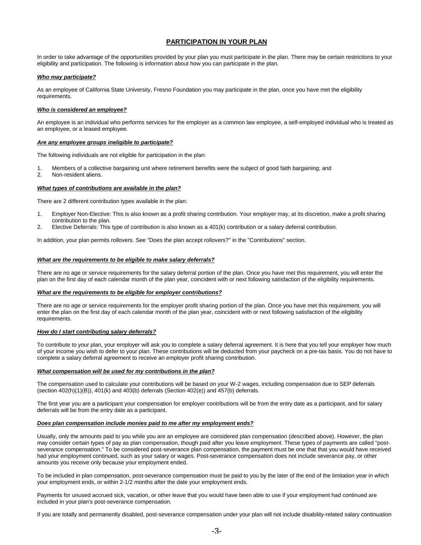# **PARTICIPATION IN YOUR PLAN**

In order to take advantage of the opportunities provided by your plan you must participate in the plan. There may be certain restrictions to your eligibility and participation. The following is information about how you can participate in the plan.

# *Who may participate?*

As an employee of California State University, Fresno Foundation you may participate in the plan, once you have met the eligibility requirements.

# *Who is considered an employee?*

An employee is an individual who performs services for the employer as a common law employee, a self-employed individual who is treated as an employee, or a leased employee.

# *Are any employee groups ineligible to participate?*

The following individuals are not eligible for participation in the plan:

- 1. Members of a collective bargaining unit where retirement benefits were the subject of good faith bargaining; and
- 2. Non-resident aliens.

# *What types of contributions are available in the plan?*

There are 2 different contribution types available in the plan:

- 1. Employer Non-Elective: This is also known as a profit sharing contribution. Your employer may, at its discretion, make a profit sharing contribution to the plan.
- 2. Elective Deferrals: This type of contribution is also known as a 401(k) contribution or a salary deferral contribution.

In addition, your plan permits rollovers. See "Does the plan accept rollovers?" in the "Contributions" section.

# *What are the requirements to be eligible to make salary deferrals?*

There are no age or service requirements for the salary deferral portion of the plan. Once you have met this requirement, you will enter the plan on the first day of each calendar month of the plan year, coincident with or next following satisfaction of the eligibility requirements.

# *What are the requirements to be eligible for employer contributions?*

There are no age or service requirements for the employer profit sharing portion of the plan. Once you have met this requirement, you will enter the plan on the first day of each calendar month of the plan year, coincident with or next following satisfaction of the eligibility requirements.

# *How do I start contributing salary deferrals?*

To contribute to your plan, your employer will ask you to complete a salary deferral agreement. It is here that you tell your employer how much of your income you wish to defer to your plan. These contributions will be deducted from your paycheck on a pre-tax basis. You do not have to complete a salary deferral agreement to receive an employer profit sharing contribution.

# *What compensation will be used for my contributions in the plan?*

The compensation used to calculate your contributions will be based on your W-2 wages, including compensation due to SEP deferrals (section 402(h)(1)(B)), 401(k) and 403(b) deferrals (Section 402(e)) and 457(b) deferrals.

The first year you are a participant your compensation for employer contributions will be from the entry date as a participant, and for salary deferrals will be from the entry date as a participant.

# *Does plan compensation include monies paid to me after my employment ends?*

Usually, only the amounts paid to you while you are an employee are considered plan compensation (described above). However, the plan may consider certain types of pay as plan compensation, though paid after you leave employment. These types of payments are called "postseverance compensation." To be considered post-severance plan compensation, the payment must be one that that you would have received had your employment continued, such as your salary or wages. Post-severance compensation does not include severance pay, or other amounts you receive only because your employment ended.

To be included in plan compensation, post-severance compensation must be paid to you by the later of the end of the limitation year in which your employment ends, or within 2-1/2 months after the date your employment ends.

Payments for unused accrued sick, vacation, or other leave that you would have been able to use if your employment had continued are included in your plan's post-severance compensation.

If you are totally and permanently disabled, post-severance compensation under your plan will not include disability-related salary continuation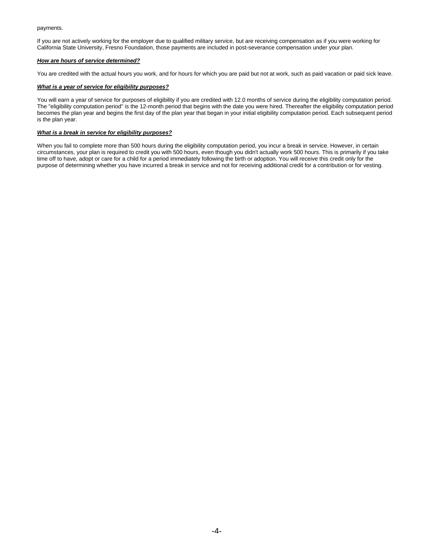payments.

If you are not actively working for the employer due to qualified military service, but are receiving compensation as if you were working for California State University, Fresno Foundation, those payments are included in post-severance compensation under your plan.

# *How are hours of service determined?*

You are credited with the actual hours you work, and for hours for which you are paid but not at work, such as paid vacation or paid sick leave.

# *What is a year of service for eligibility purposes?*

You will earn a year of service for purposes of eligibility if you are credited with 12.0 months of service during the eligibility computation period. The "eligibility computation period" is the 12-month period that begins with the date you were hired. Thereafter the eligibility computation period becomes the plan year and begins the first day of the plan year that began in your initial eligibility computation period. Each subsequent period is the plan year.

# *What is a break in service for eligibility purposes?*

When you fail to complete more than 500 hours during the eligibility computation period, you incur a break in service. However, in certain circumstances, your plan is required to credit you with 500 hours, even though you didn't actually work 500 hours. This is primarily if you take time off to have, adopt or care for a child for a period immediately following the birth or adoption. You will receive this credit only for the purpose of determining whether you have incurred a break in service and not for receiving additional credit for a contribution or for vesting.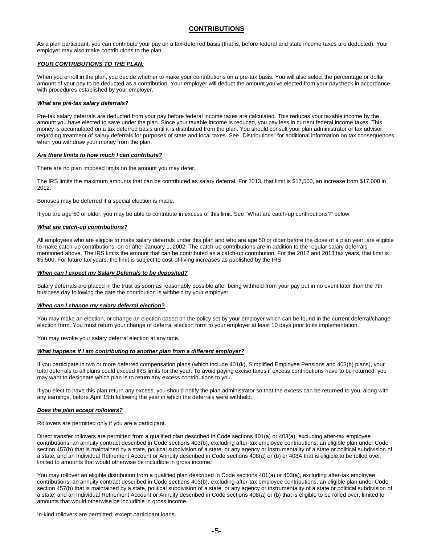# **CONTRIBUTIONS**

As a plan participant, you can contribute your pay on a tax-deferred basis (that is, before federal and state income taxes are deducted). Your employer may also make contributions to the plan.

# *YOUR CONTRIBUTIONS TO THE PLAN:*

When you enroll in the plan, you decide whether to make your contributions on a pre-tax basis. You will also select the percentage or dollar amount of your pay to be deducted as a contribution. Your employer will deduct the amount you've elected from your paycheck in accordance with procedures established by your employer.

# *What are pre-tax salary deferrals?*

Pre-tax salary deferrals are deducted from your pay before federal income taxes are calculated. This reduces your taxable income by the amount you have elected to save under the plan. Since your taxable income is reduced, you pay less in current federal income taxes. This money is accumulated on a tax deferred basis until it is distributed from the plan. You should consult your plan administrator or tax advisor regarding treatment of salary deferrals for purposes of state and local taxes. See "Distributions" for additional information on tax consequences when you withdraw your money from the plan.

# *Are there limits to how much I can contribute?*

There are no plan imposed limits on the amount you may defer.

The IRS limits the maximum amounts that can be contributed as salary deferral. For 2013, that limit is \$17,500, an increase from \$17,000 in 2012.

Bonuses may be deferred if a special election is made.

If you are age 50 or older, you may be able to contribute in excess of this limit. See "What are catch-up contributions?" below.

# *What are catch-up contributions?*

All employees who are eligible to make salary deferrals under this plan and who are age 50 or older before the close of a plan year, are eligible to make catch-up contributions, on or after January 1, 2002. The catch-up contributions are in addition to the regular salary deferrals mentioned above. The IRS limits the amount that can be contributed as a catch-up contribution. For the 2012 and 2013 tax years, that limit is \$5,500. For future tax years, the limit is subject to cost-of-living increases as published by the IRS.

# *When can I expect my Salary Deferrals to be deposited?*

Salary deferrals are placed in the trust as soon as reasonably possible after being withheld from your pay but in no event later than the 7th business day following the date the contribution is withheld by your employer.

# *When can I change my salary deferral election?*

You may make an election, or change an election based on the policy set by your employer which can be found in the current deferral/change election form. You must return your change of deferral election form to your employer at least 10 days prior to its implementation.

You may revoke your salary deferral election at any time.

# *What happens if I am contributing to another plan from a different employer?*

If you participate in two or more deferred compensation plans (which include 401(k), Simplified Employee Pensions and 403(b) plans), your total deferrals to all plans could exceed IRS limits for the year. To avoid paying excise taxes if excess contributions have to be returned, you may want to designate which plan is to return any excess contributions to you.

If you elect to have this plan return any excess, you should notify the plan administrator so that the excess can be returned to you, along with any earnings, before April 15th following the year in which the deferrals were withheld.

# *Does the plan accept rollovers?*

Rollovers are permitted only if you are a participant.

Direct transfer rollovers are permitted from a qualified plan described in Code sections 401(a) or 403(a), excluding after-tax employee contributions, an annuity contract described in Code sections 403(b), excluding after-tax employee contributions, an eligible plan under Code section 457(b) that is maintained by a state, political subdivision of a state, or any agency or instrumentality of a state or political subdivision of a state, and an Individual Retirement Account or Annuity described in Code sections 408(a) or (b) or 408A that is eligible to be rolled over, limited to amounts that would otherwise be includible in gross income.

You may rollover an eligible distribution from a qualified plan described in Code sections 401(a) or 403(a), excluding after-tax employee contributions, an annuity contract described in Code sections 403(b), excluding after-tax employee contributions, an eligible plan under Code section 457(b) that is maintained by a state, political subdivision of a state, or any agency or instrumentality of a state or political subdivision of a state, and an Individual Retirement Account or Annuity described in Code sections 408(a) or (b) that is eligible to be rolled over, limited to amounts that would otherwise be includible in gross income.

In-kind rollovers are permitted, except participant loans.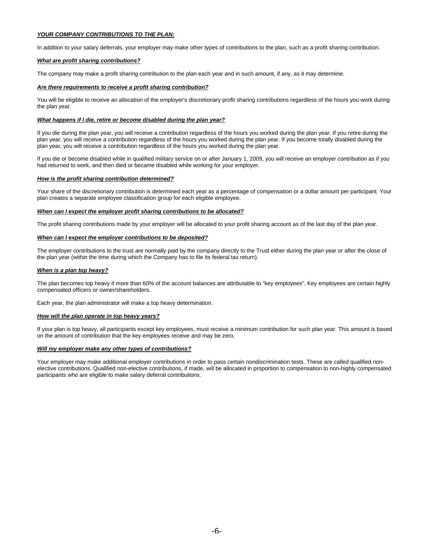# *YOUR COMPANY CONTRIBUTIONS TO THE PLAN:*

In addition to your salary deferrals, your employer may make other types of contributions to the plan, such as a profit sharing contribution.

# *What are profit sharing contributions?*

The company may make a profit sharing contribution to the plan each year and in such amount, if any, as it may determine.

# *Are there requirements to receive a profit sharing contribution?*

You will be eligible to receive an allocation of the employer's discretionary profit sharing contributions regardless of the hours you work during the plan year.

# *What happens if I die, retire or become disabled during the plan year?*

If you die during the plan year, you will receive a contribution regardless of the hours you worked during the plan year. If you retire during the plan year, you will receive a contribution regardless of the hours you worked during the plan year. If you become totally disabled during the plan year, you will receive a contribution regardless of the hours you worked during the plan year.

If you die or become disabled while in qualified military service on or after January 1, 2009, you will receive an employer contribution as if you had returned to work, and then died or became disabled while working for your employer.

# *How is the profit sharing contribution determined?*

Your share of the discretionary contribution is determined each year as a percentage of compensation or a dollar amount per participant. Your plan creates a separate employee classification group for each eligible employee.

# *When can I expect the employer profit sharing contributions to be allocated?*

The profit sharing contributions made by your employer will be allocated to your profit sharing account as of the last day of the plan year.

# *When can I expect the employer contributions to be deposited?*

The employer contributions to the trust are normally paid by the company directly to the Trust either during the plan year or after the close of the plan year (within the time during which the Company has to file its federal tax return).

# *When is a plan top heavy?*

The plan becomes top heavy if more than 60% of the account balances are attributable to "key employees". Key employees are certain highly compensated officers or owner/shareholders.

Each year, the plan administrator will make a top heavy determination.

# *How will the plan operate in top heavy years?*

If your plan is top heavy, all participants except key employees, must receive a minimum contribution for such plan year. This amount is based on the amount of contribution that the key employees receive and may be zero.

# *Will my employer make any other types of contributions?*

Your employer may make additional employer contributions in order to pass certain nondiscrimination tests. These are called qualified nonelective contributions. Qualified non-elective contributions, if made, will be allocated in proportion to compensation to non-highly compensated participants who are eligible to make salary deferral contributions.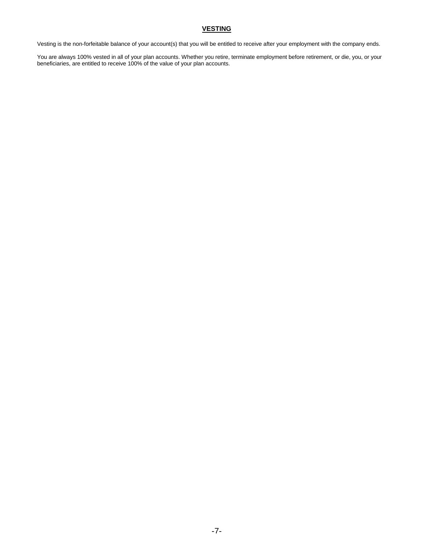# **VESTING**

Vesting is the non-forfeitable balance of your account(s) that you will be entitled to receive after your employment with the company ends.

You are always 100% vested in all of your plan accounts. Whether you retire, terminate employment before retirement, or die, you, or your beneficiaries, are entitled to receive 100% of the value of your plan accounts.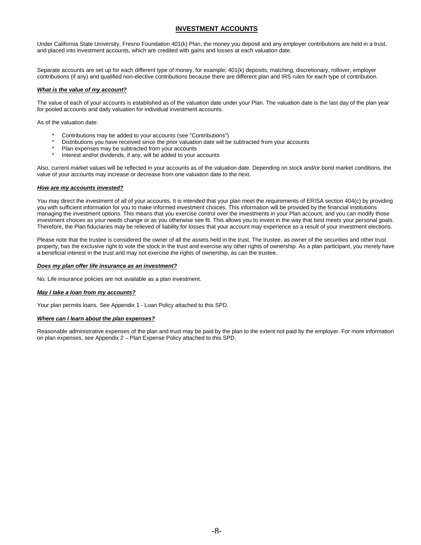# **INVESTMENT ACCOUNTS**

Under California State University, Fresno Foundation 401(k) Plan, the money you deposit and any employer contributions are held in a trust, and placed into investment accounts, which are credited with gains and losses at each valuation date.

Separate accounts are set up for each different type of money, for example: 401(k) deposits, matching, discretionary, rollover, employer contributions (if any) and qualified non-elective contributions because there are different plan and IRS rules for each type of contribution.

# *What is the value of my account?*

The value of each of your accounts is established as of the valuation date under your Plan. The valuation date is the last day of the plan year for pooled accounts and daily valuation for individual investment accounts.

As of the valuation date:

- Contributions may be added to your accounts (see "Contributions")
- Distributions you have received since the prior valuation date will be subtracted from your accounts
- \* Plan expenses may be subtracted from your accounts
- Interest and/or dividends, if any, will be added to your accounts

Also, current market values will be reflected in your accounts as of the valuation date. Depending on stock and/or bond market conditions, the value of your accounts may increase or decrease from one valuation date to the next.

# *How are my accounts invested?*

You may direct the investment of all of your accounts. It is intended that your plan meet the requirements of ERISA section 404(c) by providing you with sufficient information for you to make informed investment choices. This information will be provided by the financial institutions managing the investment options. This means that you exercise control over the investments in your Plan account, and you can modify those investment choices as your needs change or as you otherwise see fit. This allows you to invest in the way that best meets your personal goals. Therefore, the Plan fiduciaries may be relieved of liability for losses that your account may experience as a result of your investment elections.

Please note that the trustee is considered the owner of all the assets held in the trust. The trustee, as owner of the securities and other trust property, has the exclusive right to vote the stock in the trust and exercise any other rights of ownership. As a plan participant, you merely have a beneficial interest in the trust and may not exercise the rights of ownership, as can the trustee.

# *Does my plan offer life insurance as an investment?*

No. Life insurance policies are not available as a plan investment.

# *May I take a loan from my accounts?*

Your plan permits loans. See Appendix 1 - Loan Policy attached to this SPD.

# *Where can I learn about the plan expenses?*

Reasonable administrative expenses of the plan and trust may be paid by the plan to the extent not paid by the employer. For more information on plan expenses, see Appendix 2 – Plan Expense Policy attached to this SPD.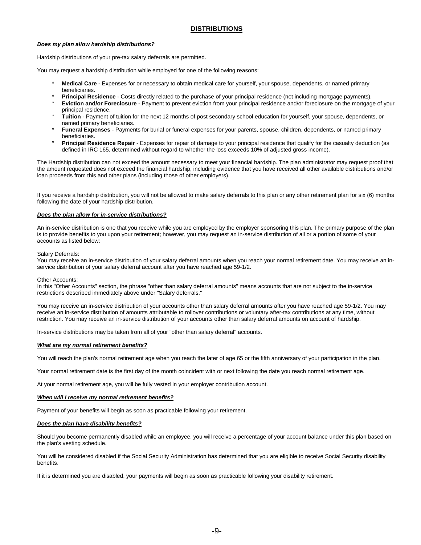# **DISTRIBUTIONS**

# *Does my plan allow hardship distributions?*

Hardship distributions of your pre-tax salary deferrals are permitted.

You may request a hardship distribution while employed for one of the following reasons:

- Medical Care Expenses for or necessary to obtain medical care for yourself, your spouse, dependents, or named primary beneficiaries.
- **Principal Residence** Costs directly related to the purchase of your principal residence (not including mortgage payments).
- **Eviction and/or Foreclosure** Payment to prevent eviction from your principal residence and/or foreclosure on the mortgage of your principal residence.
- Tuition Payment of tuition for the next 12 months of post secondary school education for yourself, your spouse, dependents, or named primary beneficiaries.
- \* **Funeral Expenses** Payments for burial or funeral expenses for your parents, spouse, children, dependents, or named primary beneficiaries.
- Principal Residence Repair Expenses for repair of damage to your principal residence that qualify for the casualty deduction (as defined in IRC 165, determined without regard to whether the loss exceeds 10% of adjusted gross income).

The Hardship distribution can not exceed the amount necessary to meet your financial hardship. The plan administrator may request proof that the amount requested does not exceed the financial hardship, including evidence that you have received all other available distributions and/or loan proceeds from this and other plans (including those of other employers).

If you receive a hardship distribution, you will not be allowed to make salary deferrals to this plan or any other retirement plan for six (6) months following the date of your hardship distribution.

# *Does the plan allow for in-service distributions?*

An in-service distribution is one that you receive while you are employed by the employer sponsoring this plan. The primary purpose of the plan is to provide benefits to you upon your retirement; however, you may request an in-service distribution of all or a portion of some of your accounts as listed below:

# Salary Deferrals:

You may receive an in-service distribution of your salary deferral amounts when you reach your normal retirement date. You may receive an inservice distribution of your salary deferral account after you have reached age 59-1/2.

# Other Accounts:

In this "Other Accounts" section, the phrase "other than salary deferral amounts" means accounts that are not subject to the in-service restrictions described immediately above under "Salary deferrals."

You may receive an in-service distribution of your accounts other than salary deferral amounts after you have reached age 59-1/2. You may receive an in-service distribution of amounts attributable to rollover contributions or voluntary after-tax contributions at any time, without restriction. You may receive an in-service distribution of your accounts other than salary deferral amounts on account of hardship.

In-service distributions may be taken from all of your "other than salary deferral" accounts.

# *What are my normal retirement benefits?*

You will reach the plan's normal retirement age when you reach the later of age 65 or the fifth anniversary of your participation in the plan.

Your normal retirement date is the first day of the month coincident with or next following the date you reach normal retirement age.

At your normal retirement age, you will be fully vested in your employer contribution account.

# *When will I receive my normal retirement benefits?*

Payment of your benefits will begin as soon as practicable following your retirement.

# *Does the plan have disability benefits?*

Should you become permanently disabled while an employee, you will receive a percentage of your account balance under this plan based on the plan's vesting schedule.

You will be considered disabled if the Social Security Administration has determined that you are eligible to receive Social Security disability benefits.

If it is determined you are disabled, your payments will begin as soon as practicable following your disability retirement.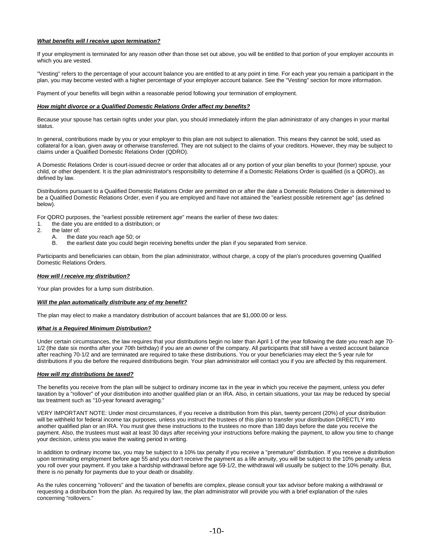# *What benefits will I receive upon termination?*

If your employment is terminated for any reason other than those set out above, you will be entitled to that portion of your employer accounts in which you are vested.

"Vesting" refers to the percentage of your account balance you are entitled to at any point in time. For each year you remain a participant in the plan, you may become vested with a higher percentage of your employer account balance. See the "Vesting" section for more information.

Payment of your benefits will begin within a reasonable period following your termination of employment.

# *How might divorce or a Qualified Domestic Relations Order affect my benefits?*

Because your spouse has certain rights under your plan, you should immediately inform the plan administrator of any changes in your marital status.

In general, contributions made by you or your employer to this plan are not subject to alienation. This means they cannot be sold, used as collateral for a loan, given away or otherwise transferred. They are not subject to the claims of your creditors. However, they may be subject to claims under a Qualified Domestic Relations Order (QDRO).

A Domestic Relations Order is court-issued decree or order that allocates all or any portion of your plan benefits to your (former) spouse, your child, or other dependent. It is the plan administrator's responsibility to determine if a Domestic Relations Order is qualified (is a QDRO), as defined by law.

Distributions pursuant to a Qualified Domestic Relations Order are permitted on or after the date a Domestic Relations Order is determined to be a Qualified Domestic Relations Order, even if you are employed and have not attained the "earliest possible retirement age" (as defined below).

For QDRO purposes, the "earliest possible retirement age" means the earlier of these two dates:

- 1. the date you are entitled to a distribution; or
- 2. the later of:
	- A. the date you reach age 50; or
	- B. the earliest date you could begin receiving benefits under the plan if you separated from service.

Participants and beneficiaries can obtain, from the plan administrator, without charge, a copy of the plan's procedures governing Qualified Domestic Relations Orders.

# *How will I receive my distribution?*

Your plan provides for a lump sum distribution.

# *Will the plan automatically distribute any of my benefit?*

The plan may elect to make a mandatory distribution of account balances that are \$1,000.00 or less.

# *What is a Required Minimum Distribution?*

Under certain circumstances, the law requires that your distributions begin no later than April 1 of the year following the date you reach age 70- 1/2 (the date six months after your 70th birthday) if you are an owner of the company. All participants that still have a vested account balance after reaching 70-1/2 and are terminated are required to take these distributions. You or your beneficiaries may elect the 5 year rule for distributions if you die before the required distributions begin. Your plan administrator will contact you if you are affected by this requirement.

# *How will my distributions be taxed?*

The benefits you receive from the plan will be subject to ordinary income tax in the year in which you receive the payment, unless you defer taxation by a "rollover" of your distribution into another qualified plan or an IRA. Also, in certain situations, your tax may be reduced by special tax treatment such as "10-year forward averaging."

VERY IMPORTANT NOTE: Under most circumstances, if you receive a distribution from this plan, twenty percent (20%) of your distribution will be withheld for federal income tax purposes, unless you instruct the trustees of this plan to transfer your distribution DIRECTLY into another qualified plan or an IRA. You must give these instructions to the trustees no more than 180 days before the date you receive the payment. Also, the trustees must wait at least 30 days after receiving your instructions before making the payment, to allow you time to change your decision, unless you waive the waiting period in writing.

In addition to ordinary income tax, you may be subject to a 10% tax penalty if you receive a "premature" distribution. If you receive a distribution upon terminating employment before age 55 and you don't receive the payment as a life annuity, you will be subject to the 10% penalty unless you roll over your payment. If you take a hardship withdrawal before age 59-1/2, the withdrawal will usually be subject to the 10% penalty. But, there is no penalty for payments due to your death or disability.

As the rules concerning "rollovers" and the taxation of benefits are complex, please consult your tax advisor before making a withdrawal or requesting a distribution from the plan. As required by law, the plan administrator will provide you with a brief explanation of the rules concerning "rollovers."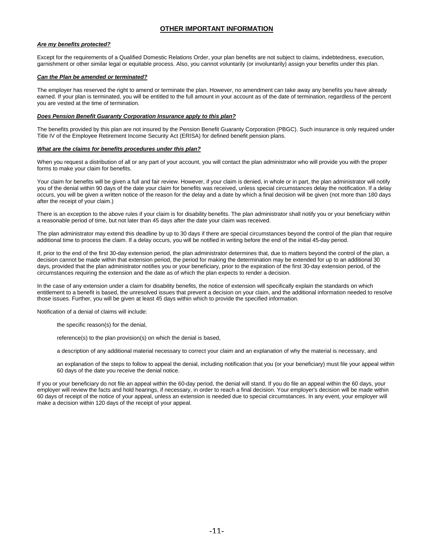# **OTHER IMPORTANT INFORMATION**

# *Are my benefits protected?*

Except for the requirements of a Qualified Domestic Relations Order, your plan benefits are not subject to claims, indebtedness, execution, garnishment or other similar legal or equitable process. Also, you cannot voluntarily (or involuntarily) assign your benefits under this plan.

# *Can the Plan be amended or terminated?*

The employer has reserved the right to amend or terminate the plan. However, no amendment can take away any benefits you have already earned. If your plan is terminated, you will be entitled to the full amount in your account as of the date of termination, regardless of the percent you are vested at the time of termination.

# *Does Pension Benefit Guaranty Corporation Insurance apply to this plan?*

The benefits provided by this plan are not insured by the Pension Benefit Guaranty Corporation (PBGC). Such insurance is only required under Title IV of the Employee Retirement Income Security Act (ERISA) for defined benefit pension plans.

# *What are the claims for benefits procedures under this plan?*

When you request a distribution of all or any part of your account, you will contact the plan administrator who will provide you with the proper forms to make your claim for benefits.

Your claim for benefits will be given a full and fair review. However, if your claim is denied, in whole or in part, the plan administrator will notify you of the denial within 90 days of the date your claim for benefits was received, unless special circumstances delay the notification. If a delay occurs, you will be given a written notice of the reason for the delay and a date by which a final decision will be given (not more than 180 days after the receipt of your claim.)

There is an exception to the above rules if your claim is for disability benefits. The plan administrator shall notify you or your beneficiary within a reasonable period of time, but not later than 45 days after the date your claim was received.

The plan administrator may extend this deadline by up to 30 days if there are special circumstances beyond the control of the plan that require additional time to process the claim. If a delay occurs, you will be notified in writing before the end of the initial 45-day period.

If, prior to the end of the first 30-day extension period, the plan administrator determines that, due to matters beyond the control of the plan, a decision cannot be made within that extension period, the period for making the determination may be extended for up to an additional 30 days, provided that the plan administrator notifies you or your beneficiary, prior to the expiration of the first 30-day extension period, of the circumstances requiring the extension and the date as of which the plan expects to render a decision.

In the case of any extension under a claim for disability benefits, the notice of extension will specifically explain the standards on which entitlement to a benefit is based, the unresolved issues that prevent a decision on your claim, and the additional information needed to resolve those issues. Further, you will be given at least 45 days within which to provide the specified information.

Notification of a denial of claims will include:

the specific reason(s) for the denial,

reference(s) to the plan provision(s) on which the denial is based,

a description of any additional material necessary to correct your claim and an explanation of why the material is necessary, and

an explanation of the steps to follow to appeal the denial, including notification that you (or your beneficiary) must file your appeal within 60 days of the date you receive the denial notice.

If you or your beneficiary do not file an appeal within the 60-day period, the denial will stand. If you do file an appeal within the 60 days, your employer will review the facts and hold hearings, if necessary, in order to reach a final decision. Your employer's decision will be made within 60 days of receipt of the notice of your appeal, unless an extension is needed due to special circumstances. In any event, your employer will make a decision within 120 days of the receipt of your appeal.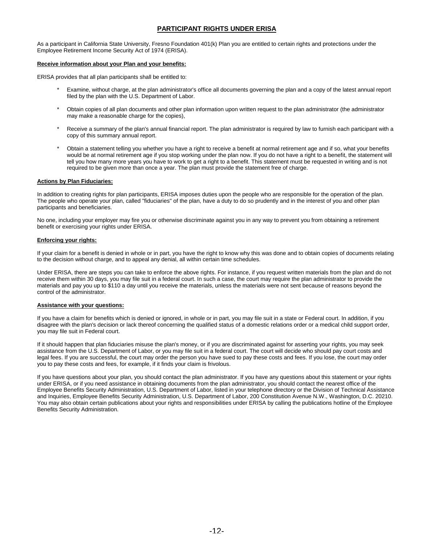# **PARTICIPANT RIGHTS UNDER ERISA**

As a participant in California State University, Fresno Foundation 401(k) Plan you are entitled to certain rights and protections under the Employee Retirement Income Security Act of 1974 (ERISA).

# **Receive information about your Plan and your benefits:**

ERISA provides that all plan participants shall be entitled to:

- \* Examine, without charge, at the plan administrator's office all documents governing the plan and a copy of the latest annual report filed by the plan with the U.S. Department of Labor.
- Obtain copies of all plan documents and other plan information upon written request to the plan administrator (the administrator may make a reasonable charge for the copies),
- Receive a summary of the plan's annual financial report. The plan administrator is required by law to furnish each participant with a copy of this summary annual report.
- Obtain a statement telling you whether you have a right to receive a benefit at normal retirement age and if so, what your benefits would be at normal retirement age if you stop working under the plan now. If you do not have a right to a benefit, the statement will tell you how many more years you have to work to get a right to a benefit. This statement must be requested in writing and is not required to be given more than once a year. The plan must provide the statement free of charge.

# **Actions by Plan Fiduciaries:**

In addition to creating rights for plan participants, ERISA imposes duties upon the people who are responsible for the operation of the plan. The people who operate your plan, called "fiduciaries" of the plan, have a duty to do so prudently and in the interest of you and other plan participants and beneficiaries.

No one, including your employer may fire you or otherwise discriminate against you in any way to prevent you from obtaining a retirement benefit or exercising your rights under ERISA.

# **Enforcing your rights:**

If your claim for a benefit is denied in whole or in part, you have the right to know why this was done and to obtain copies of documents relating to the decision without charge, and to appeal any denial, all within certain time schedules.

Under ERISA, there are steps you can take to enforce the above rights. For instance, if you request written materials from the plan and do not receive them within 30 days, you may file suit in a federal court. In such a case, the court may require the plan administrator to provide the materials and pay you up to \$110 a day until you receive the materials, unless the materials were not sent because of reasons beyond the control of the administrator.

# **Assistance with your questions:**

If you have a claim for benefits which is denied or ignored, in whole or in part, you may file suit in a state or Federal court. In addition, if you disagree with the plan's decision or lack thereof concerning the qualified status of a domestic relations order or a medical child support order, you may file suit in Federal court.

If it should happen that plan fiduciaries misuse the plan's money, or if you are discriminated against for asserting your rights, you may seek assistance from the U.S. Department of Labor, or you may file suit in a federal court. The court will decide who should pay court costs and legal fees. If you are successful, the court may order the person you have sued to pay these costs and fees. If you lose, the court may order you to pay these costs and fees, for example, if it finds your claim is frivolous.

If you have questions about your plan, you should contact the plan administrator. If you have any questions about this statement or your rights under ERISA, or if you need assistance in obtaining documents from the plan administrator, you should contact the nearest office of the Employee Benefits Security Administration, U.S. Department of Labor, listed in your telephone directory or the Division of Technical Assistance and Inquiries, Employee Benefits Security Administration, U.S. Department of Labor, 200 Constitution Avenue N.W., Washington, D.C. 20210. You may also obtain certain publications about your rights and responsibilities under ERISA by calling the publications hotline of the Employee Benefits Security Administration.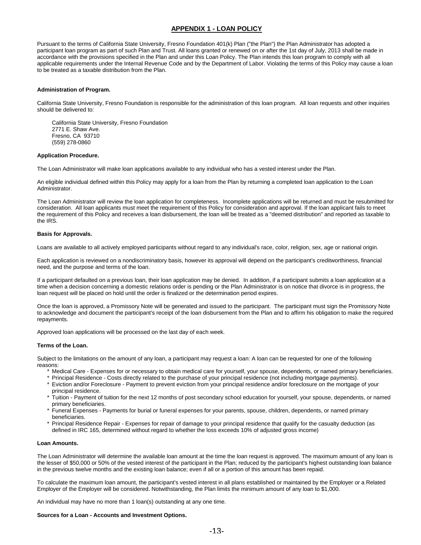# **APPENDIX 1 - LOAN POLICY**

Pursuant to the terms of California State University, Fresno Foundation 401(k) Plan ("the Plan") the Plan Administrator has adopted a participant loan program as part of such Plan and Trust. All loans granted or renewed on or after the 1st day of July, 2013 shall be made in accordance with the provisions specified in the Plan and under this Loan Policy. The Plan intends this loan program to comply with all applicable requirements under the Internal Revenue Code and by the Department of Labor. Violating the terms of this Policy may cause a loan to be treated as a taxable distribution from the Plan.

# **Administration of Program.**

California State University, Fresno Foundation is responsible for the administration of this loan program. All loan requests and other inquiries should be delivered to:

California State University, Fresno Foundation 2771 E. Shaw Ave. Fresno, CA 93710 (559) 278-0860

# **Application Procedure.**

The Loan Administrator will make loan applications available to any individual who has a vested interest under the Plan.

An eligible individual defined within this Policy may apply for a loan from the Plan by returning a completed loan application to the Loan Administrator.

The Loan Administrator will review the loan application for completeness. Incomplete applications will be returned and must be resubmitted for consideration. All loan applicants must meet the requirement of this Policy for consideration and approval. If the loan applicant fails to meet the requirement of this Policy and receives a loan disbursement, the loan will be treated as a "deemed distribution" and reported as taxable to the IRS.

# **Basis for Approvals.**

Loans are available to all actively employed participants without regard to any individual's race, color, religion, sex, age or national origin.

Each application is reviewed on a nondiscriminatory basis, however its approval will depend on the participant's creditworthiness, financial need, and the purpose and terms of the loan.

If a participant defaulted on a previous loan, their loan application may be denied. In addition, if a participant submits a loan application at a time when a decision concerning a domestic relations order is pending or the Plan Administrator is on notice that divorce is in progress, the loan request will be placed on hold until the order is finalized or the determination period expires.

Once the loan is approved, a Promissory Note will be generated and issued to the participant. The participant must sign the Promissory Note to acknowledge and document the participant's receipt of the loan disbursement from the Plan and to affirm his obligation to make the required repayments.

Approved loan applications will be processed on the last day of each week.

# **Terms of the Loan.**

Subject to the limitations on the amount of any loan, a participant may request a loan: A loan can be requested for one of the following reasons:

- \* Medical Care Expenses for or necessary to obtain medical care for yourself, your spouse, dependents, or named primary beneficiaries.
- \* Principal Residence Costs directly related to the purchase of your principal residence (not including mortgage payments).
- \* Eviction and/or Foreclosure Payment to prevent eviction from your principal residence and/or foreclosure on the mortgage of your principal residence.
- \* Tuition Payment of tuition for the next 12 months of post secondary school education for yourself, your spouse, dependents, or named primary beneficiaries.
- \* Funeral Expenses Payments for burial or funeral expenses for your parents, spouse, children, dependents, or named primary beneficiaries.
- \* Principal Residence Repair Expenses for repair of damage to your principal residence that qualify for the casualty deduction (as defined in IRC 165, determined without regard to whether the loss exceeds 10% of adjusted gross income)

# **Loan Amounts.**

The Loan Administrator will determine the available loan amount at the time the loan request is approved. The maximum amount of any loan is the lesser of \$50,000 or 50% of the vested interest of the participant in the Plan; reduced by the participant's highest outstanding loan balance in the previous twelve months and the existing loan balance; even if all or a portion of this amount has been repaid.

To calculate the maximum loan amount, the participant's vested interest in all plans established or maintained by the Employer or a Related Employer of the Employer will be considered. Notwithstanding, the Plan limits the minimum amount of any loan to \$1,000.

An individual may have no more than 1 loan(s) outstanding at any one time.

# **Sources for a Loan - Accounts and Investment Options.**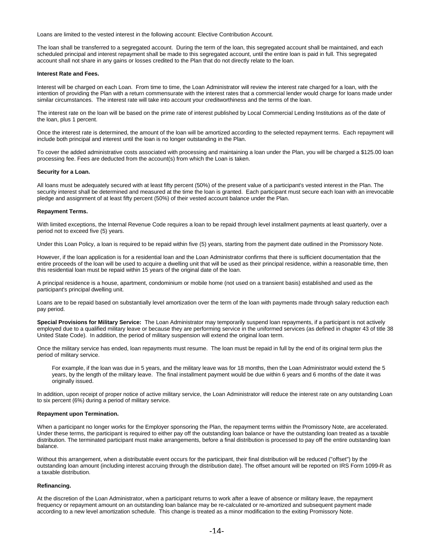Loans are limited to the vested interest in the following account: Elective Contribution Account.

The loan shall be transferred to a segregated account. During the term of the loan, this segregated account shall be maintained, and each scheduled principal and interest repayment shall be made to this segregated account, until the entire loan is paid in full. This segregated account shall not share in any gains or losses credited to the Plan that do not directly relate to the loan.

#### **Interest Rate and Fees.**

Interest will be charged on each Loan. From time to time, the Loan Administrator will review the interest rate charged for a loan, with the intention of providing the Plan with a return commensurate with the interest rates that a commercial lender would charge for loans made under similar circumstances. The interest rate will take into account your creditworthiness and the terms of the loan.

The interest rate on the loan will be based on the prime rate of interest published by Local Commercial Lending Institutions as of the date of the loan, plus 1 percent.

Once the interest rate is determined, the amount of the loan will be amortized according to the selected repayment terms. Each repayment will include both principal and interest until the loan is no longer outstanding in the Plan.

To cover the added administrative costs associated with processing and maintaining a loan under the Plan, you will be charged a \$125.00 loan processing fee. Fees are deducted from the account(s) from which the Loan is taken.

# **Security for a Loan.**

All loans must be adequately secured with at least fifty percent (50%) of the present value of a participant's vested interest in the Plan. The security interest shall be determined and measured at the time the loan is granted. Each participant must secure each loan with an irrevocable pledge and assignment of at least fifty percent (50%) of their vested account balance under the Plan.

# **Repayment Terms.**

With limited exceptions, the Internal Revenue Code requires a loan to be repaid through level installment payments at least quarterly, over a period not to exceed five (5) years.

Under this Loan Policy, a loan is required to be repaid within five (5) years, starting from the payment date outlined in the Promissory Note.

However, if the loan application is for a residential loan and the Loan Administrator confirms that there is sufficient documentation that the entire proceeds of the loan will be used to acquire a dwelling unit that will be used as their principal residence, within a reasonable time, then this residential loan must be repaid within 15 years of the original date of the loan.

A principal residence is a house, apartment, condominium or mobile home (not used on a transient basis) established and used as the participant's principal dwelling unit.

Loans are to be repaid based on substantially level amortization over the term of the loan with payments made through salary reduction each pay period.

**Special Provisions for Military Service:** The Loan Administrator may temporarily suspend loan repayments, if a participant is not actively employed due to a qualified military leave or because they are performing service in the uniformed services (as defined in chapter 43 of title 38 United State Code). In addition, the period of military suspension will extend the original loan term.

Once the military service has ended, loan repayments must resume. The loan must be repaid in full by the end of its original term plus the period of military service.

For example, if the loan was due in 5 years, and the military leave was for 18 months, then the Loan Administrator would extend the 5 years, by the length of the military leave. The final installment payment would be due within 6 years and 6 months of the date it was originally issued.

In addition, upon receipt of proper notice of active military service, the Loan Administrator will reduce the interest rate on any outstanding Loan to six percent (6%) during a period of military service.

# **Repayment upon Termination.**

When a participant no longer works for the Employer sponsoring the Plan, the repayment terms within the Promissory Note, are accelerated. Under these terms, the participant is required to either pay off the outstanding loan balance or have the outstanding loan treated as a taxable distribution. The terminated participant must make arrangements, before a final distribution is processed to pay off the entire outstanding loan balance.

Without this arrangement, when a distributable event occurs for the participant, their final distribution will be reduced ("offset") by the outstanding loan amount (including interest accruing through the distribution date). The offset amount will be reported on IRS Form 1099-R as a taxable distribution.

# **Refinancing.**

At the discretion of the Loan Administrator, when a participant returns to work after a leave of absence or military leave, the repayment frequency or repayment amount on an outstanding loan balance may be re-calculated or re-amortized and subsequent payment made according to a new level amortization schedule. This change is treated as a minor modification to the exiting Promissory Note.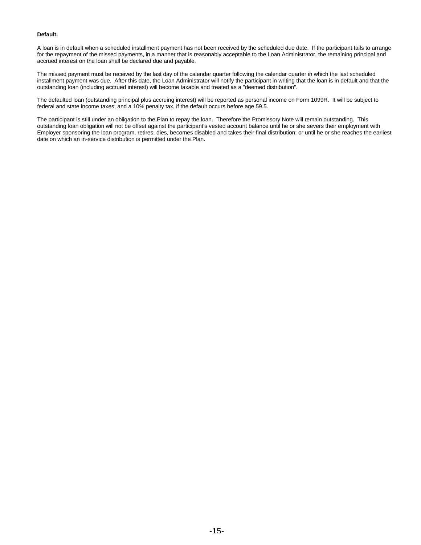# **Default.**

A loan is in default when a scheduled installment payment has not been received by the scheduled due date. If the participant fails to arrange for the repayment of the missed payments, in a manner that is reasonably acceptable to the Loan Administrator, the remaining principal and accrued interest on the loan shall be declared due and payable.

The missed payment must be received by the last day of the calendar quarter following the calendar quarter in which the last scheduled installment payment was due. After this date, the Loan Administrator will notify the participant in writing that the loan is in default and that the outstanding loan (including accrued interest) will become taxable and treated as a "deemed distribution".

The defaulted loan (outstanding principal plus accruing interest) will be reported as personal income on Form 1099R. It will be subject to federal and state income taxes, and a 10% penalty tax, if the default occurs before age 59.5.

The participant is still under an obligation to the Plan to repay the loan. Therefore the Promissory Note will remain outstanding. This outstanding loan obligation will not be offset against the participant's vested account balance until he or she severs their employment with Employer sponsoring the loan program, retires, dies, becomes disabled and takes their final distribution; or until he or she reaches the earliest date on which an in-service distribution is permitted under the Plan.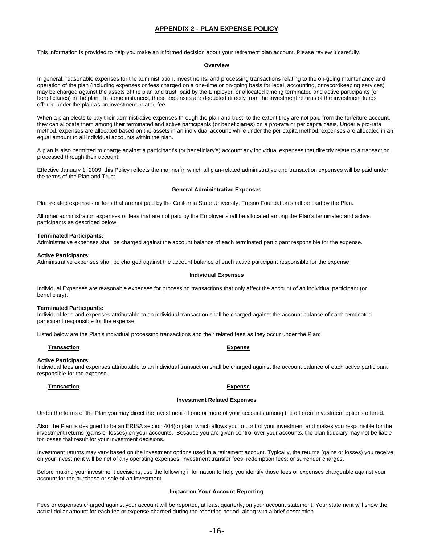# **APPENDIX 2 - PLAN EXPENSE POLICY**

This information is provided to help you make an informed decision about your retirement plan account. Please review it carefully.

#### **Overview**

In general, reasonable expenses for the administration, investments, and processing transactions relating to the on-going maintenance and operation of the plan (including expenses or fees charged on a one-time or on-going basis for legal, accounting, or recordkeeping services) may be charged against the assets of the plan and trust, paid by the Employer, or allocated among terminated and active participants (or beneficiaries) in the plan. In some instances, these expenses are deducted directly from the investment returns of the investment funds offered under the plan as an investment related fee.

When a plan elects to pay their administrative expenses through the plan and trust, to the extent they are not paid from the forfeiture account, they can allocate them among their terminated and active participants (or beneficiaries) on a pro-rata or per capita basis. Under a pro-rata method, expenses are allocated based on the assets in an individual account; while under the per capita method, expenses are allocated in an equal amount to all individual accounts within the plan.

A plan is also permitted to charge against a participant's (or beneficiary's) account any individual expenses that directly relate to a transaction processed through their account.

Effective January 1, 2009, this Policy reflects the manner in which all plan-related administrative and transaction expenses will be paid under the terms of the Plan and Trust.

# **General Administrative Expenses**

Plan-related expenses or fees that are not paid by the California State University, Fresno Foundation shall be paid by the Plan.

All other administration expenses or fees that are not paid by the Employer shall be allocated among the Plan's terminated and active participants as described below:

# **Terminated Participants:**

Administrative expenses shall be charged against the account balance of each terminated participant responsible for the expense.

# **Active Participants:**

Administrative expenses shall be charged against the account balance of each active participant responsible for the expense.

# **Individual Expenses**

Individual Expenses are reasonable expenses for processing transactions that only affect the account of an individual participant (or beneficiary).

# **Terminated Participants:**

Individual fees and expenses attributable to an individual transaction shall be charged against the account balance of each terminated participant responsible for the expense.

Listed below are the Plan's individual processing transactions and their related fees as they occur under the Plan:

# **Transaction Expense**

# **Active Participants:**

Individual fees and expenses attributable to an individual transaction shall be charged against the account balance of each active participant responsible for the expense.

# **Transaction Expense**

# **Investment Related Expenses**

Under the terms of the Plan you may direct the investment of one or more of your accounts among the different investment options offered.

Also, the Plan is designed to be an ERISA section 404(c) plan, which allows you to control your investment and makes you responsible for the investment returns (gains or losses) on your accounts. Because you are given control over your accounts, the plan fiduciary may not be liable for losses that result for your investment decisions.

Investment returns may vary based on the investment options used in a retirement account. Typically, the returns (gains or losses) you receive on your investment will be net of any operating expenses; investment transfer fees; redemption fees; or surrender charges.

Before making your investment decisions, use the following information to help you identify those fees or expenses chargeable against your account for the purchase or sale of an investment.

# **Impact on Your Account Reporting**

Fees or expenses charged against your account will be reported, at least quarterly, on your account statement. Your statement will show the actual dollar amount for each fee or expense charged during the reporting period, along with a brief description.